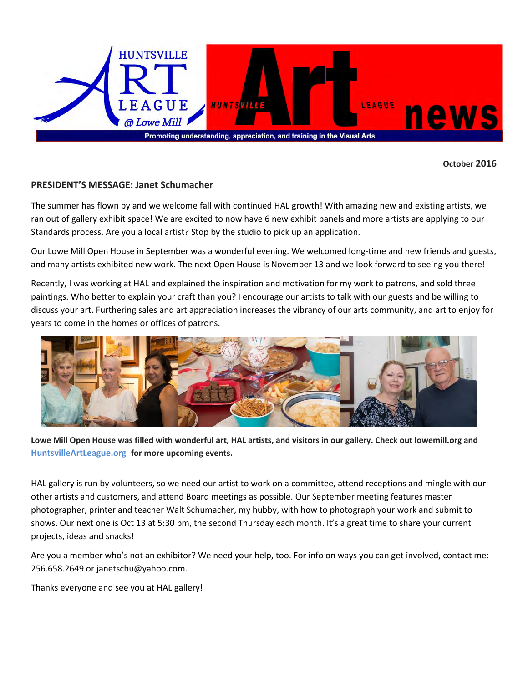

**October 2016**

#### **PRESIDENT'S MESSAGE: Janet Schumacher**

The summer has flown by and we welcome fall with continued HAL growth! With amazing new and existing artists, we ran out of gallery exhibit space! We are excited to now have 6 new exhibit panels and more artists are applying to our Standards process. Are you a local artist? Stop by the studio to pick up an application.

Our Lowe Mill Open House in September was a wonderful evening. We welcomed long-time and new friends and guests, and many artists exhibited new work. The next Open House is November 13 and we look forward to seeing you there!

Recently, I was working at HAL and explained the inspiration and motivation for my work to patrons, and sold three paintings. Who better to explain your craft than you? I encourage our artists to talk with our guests and be willing to discuss your art. Furthering sales and art appreciation increases the vibrancy of our arts community, and art to enjoy for years to come in the homes or offices of patrons.



**Lowe Mill Open House was filled with wonderful art, HAL artists, and visitors in our gallery. Check out lowemill.org and HuntsvilleArtLeague.org for more upcoming events.** 

HAL gallery is run by volunteers, so we need our artist to work on a committee, attend receptions and mingle with our other artists and customers, and attend Board meetings as possible. Our September meeting features master photographer, printer and teacher Walt Schumacher, my hubby, with how to photograph your work and submit to shows. Our next one is Oct 13 at 5:30 pm, the second Thursday each month. It's a great time to share your current projects, ideas and snacks!

Are you a member who's not an exhibitor? We need your help, too. For info on ways you can get involved, contact me: 256.658.2649 or janetschu@yahoo.com.

Thanks everyone and see you at HAL gallery!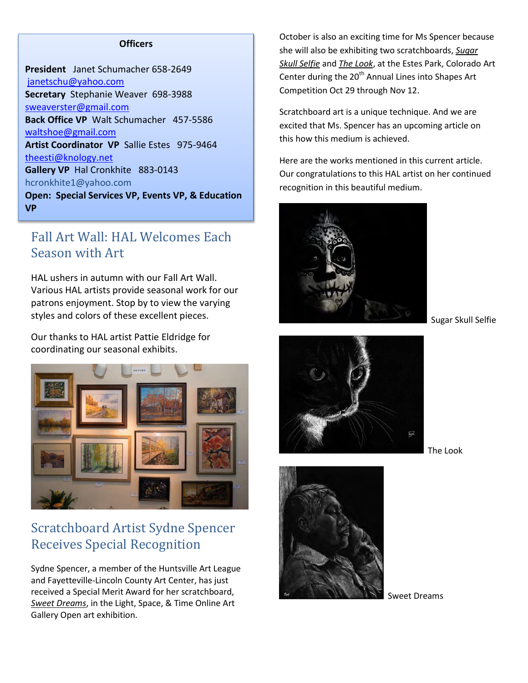#### **Officers**

**President** Janet Schumacher 658-2649 [janetschu@yahoo.com](mailto:janetschu@yahoo.com) **Secretary** Stephanie Weaver 698-3988 [sweaverster@gmail.com](mailto:sweaverster@gmail.com) **Back Office VP** Walt Schumacher 457-5586 [waltshoe@gmail.com](mailto:waltshoe@gmail.com) **Artist Coordinator VP** Sallie Estes 975-9464 [theesti@knology.net](mailto:theesti@knology.net) **Gallery VP** Hal Cronkhite 883-0143 hcronkhite1@yahoo.com **Open: Special Services VP, Events VP, & Education VP**

### Fall Art Wall: HAL Welcomes Each Season with Art

HAL ushers in autumn with our Fall Art Wall. Various HAL artists provide seasonal work for our patrons enjoyment. Stop by to view the varying styles and colors of these excellent pieces.

Our thanks to HAL artist Pattie Eldridge for coordinating our seasonal exhibits.



### Scratchboard Artist Sydne Spencer Receives Special Recognition

Sydne Spencer, a member of the Huntsville Art League and Fayetteville-Lincoln County Art Center, has just received a Special Merit Award for her scratchboard, *Sweet Dreams*, in the Light, Space, & Time Online Art Gallery Open art exhibition.

October is also an exciting time for Ms Spencer because she will also be exhibiting two scratchboards, *Sugar Skull Selfie* and *The Look*, at the Estes Park, Colorado Art Center during the 20<sup>th</sup> Annual Lines into Shapes Art Competition Oct 29 through Nov 12.

Scratchboard art is a unique technique. And we are excited that Ms. Spencer has an upcoming article on this how this medium is achieved.

Here are the works mentioned in this current article. Our congratulations to this HAL artist on her continued recognition in this beautiful medium.



Sugar Skull Selfie



The Look



Sweet Dreams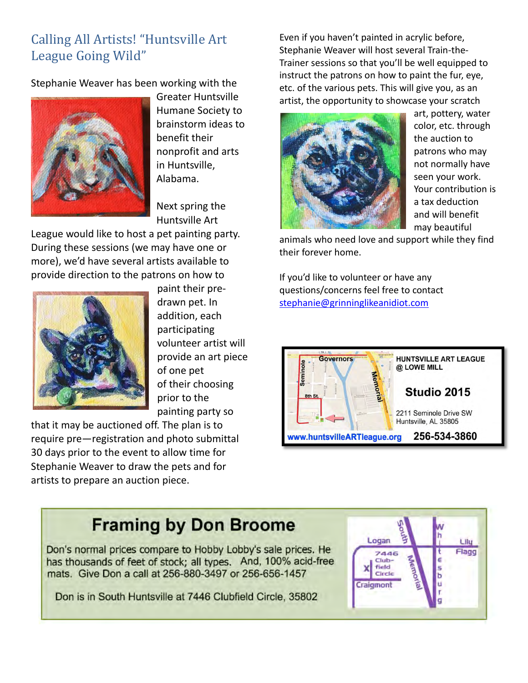## Calling All Artists! "Huntsville Art League Going Wild"

Stephanie Weaver has been working with the



Greater Huntsville Humane Society to brainstorm ideas to benefit their nonprofit and arts in Huntsville, Alabama.

Next spring the Huntsville Art

League would like to host a pet painting party. During these sessions (we may have one or more), we'd have several artists available to provide direction to the patrons on how to



paint their predrawn pet. In addition, each participating volunteer artist will provide an art piece of one pet of their choosing prior to the painting party so

that it may be auctioned off. The plan is to require pre—registration and photo submittal 30 days prior to the event to allow time for Stephanie Weaver to draw the pets and for artists to prepare an auction piece.

Even if you haven't painted in acrylic before, Stephanie Weaver will host several Train-the-Trainer sessions so that you'll be well equipped to instruct the patrons on how to paint the fur, eye, etc. of the various pets. This will give you, as an artist, the opportunity to showcase your scratch



art, pottery, water color, etc. through the auction to patrons who may not normally have seen your work. Your contribution is a tax deduction and will benefit may beautiful

animals who need love and support while they find their forever home.

If you'd like to volunteer or have any questions/concerns feel free to contact [stephanie@grinninglikeanidiot.com](mailto:stephanie@grinninglikeanidiot.com)



# **Framing by Don Broome**

Don's normal prices compare to Hobby Lobby's sale prices. He<br>has thousands of feet of stock; all types. And, 100% acid-free mats. Give Don a call at 256-880-3497 or 256-656-1457

Don is in South Huntsville at 7446 Clubfield Circle, 35802